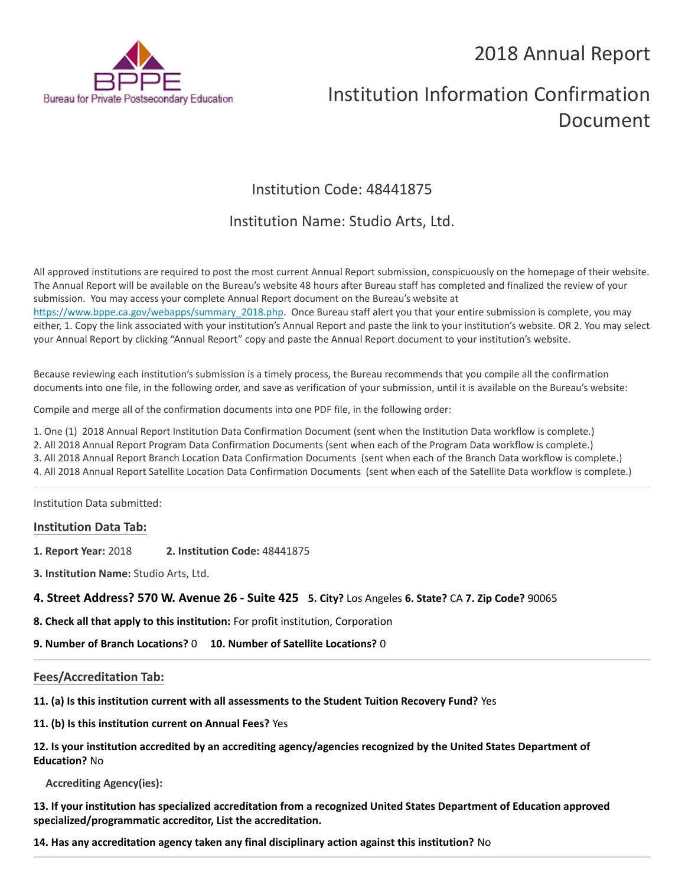## 2018 Annual Report



# Institution Information Confirmation Document

### Institution Code: 48441875

### Institution Name: Studio Arts, Ltd.

All approved institutions are required to post the most current Annual Report submission, conspicuously on the homepage of their website. The Annual Report will be available on the Bureau's website 48 hours after Bureau staff has completed and finalized the review of your submission. You may access your complete Annual Report document on the Bureau's website at [https://www.bppe.ca.gov/webapps/summary\\_2018.php.](https://www.bppe.ca.gov/webapps/summary_2018.php) Once Bureau staff alert you that your entire submission is complete, you may either, 1. Copy the link associated with your institution's Annual Report and paste the link to your institution's website. OR 2. You may select your Annual Report by clicking "Annual Report" copy and paste the Annual Report document to your institution's website.

Because reviewing each institution's submission is a timely process, the Bureau recommends that you compile all the confirmation documents into one file, in the following order, and save as verification of your submission, until it is available on the Bureau's website:

Compile and merge all of the confirmation documents into one PDF file, in the following order:

1. One (1) 2018 Annual Report Institution Data Confirmation Document (sent when the Institution Data workflow is complete.)

2. All 2018 Annual Report Program Data Confirmation Documents (sent when each of the Program Data workflow is complete.)

3. All 2018 Annual Report Branch Location Data Confirmation Documents (sent when each of the Branch Data workflow is complete.)

4. All 2018 Annual Report Satellite Location Data Confirmation Documents (sent when each of the Satellite Data workflow is complete.)

Institution Data submitted:

#### **Institution Data Tab:**

- **1. Report Year:** 2018 **2. Institution Code:** 48441875
- **3. Institution Name:** Studio Arts, Ltd.

**4. Street Address? 570 W. Avenue 26 - Suite 425 5. City?** Los Angeles **6. State?** CA **7. Zip Code?** 90065

**8. Check all that apply to this institution:** For profit institution, Corporation

**9. Number of Branch Locations?** 0 **10. Number of Satellite Locations?** 0

#### **Fees/Accreditation Tab:**

**11. (a) Is this institution current with all assessments to the Student Tuition Recovery Fund?** Yes

**11. (b) Is this institution current on Annual Fees?** Yes

**12. Is your institution accredited by an accrediting agency/agencies recognized by the United States Department of Education?** No

**Accrediting Agency(ies):**

**13. If your institution has specialized accreditation from a recognized United States Department of Education approved specialized/programmatic accreditor, List the accreditation.**

**14. Has any accreditation agency taken any final disciplinary action against this institution?** No